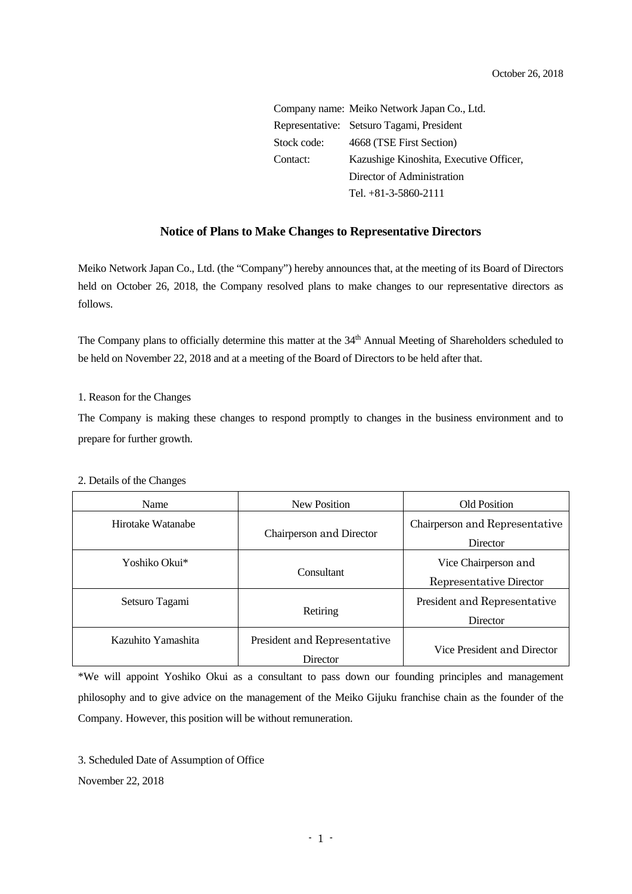Company name: Meiko Network Japan Co., Ltd. Representative: Setsuro Tagami, President Stock code: 4668 (TSE First Section) Contact: Kazushige Kinoshita, Executive Officer, Director of Administration Tel. +81-3-5860-2111

## **Notice of Plans to Make Changes to Representative Directors**

Meiko Network Japan Co., Ltd. (the "Company") hereby announces that, at the meeting of its Board of Directors held on October 26, 2018, the Company resolved plans to make changes to our representative directors as follows.

The Company plans to officially determine this matter at the 34<sup>th</sup> Annual Meeting of Shareholders scheduled to be held on November 22, 2018 and at a meeting of the Board of Directors to be held after that.

1. Reason for the Changes

The Company is making these changes to respond promptly to changes in the business environment and to prepare for further growth.

| Name               | <b>New Position</b>                      | <b>Old Position</b>                             |
|--------------------|------------------------------------------|-------------------------------------------------|
| Hirotake Watanabe  | Chairperson and Director                 | Chairperson and Representative<br>Director      |
| Yoshiko Okui*      | Consultant                               | Vice Chairperson and<br>Representative Director |
| Setsuro Tagami     | Retiring                                 | President and Representative<br>Director        |
| Kazuhito Yamashita | President and Representative<br>Director | Vice President and Director                     |

## 2. Details of the Changes

\*We will appoint Yoshiko Okui as a consultant to pass down our founding principles and management philosophy and to give advice on the management of the Meiko Gijuku franchise chain as the founder of the Company. However, this position will be without remuneration.

3. Scheduled Date of Assumption of Office November 22, 2018